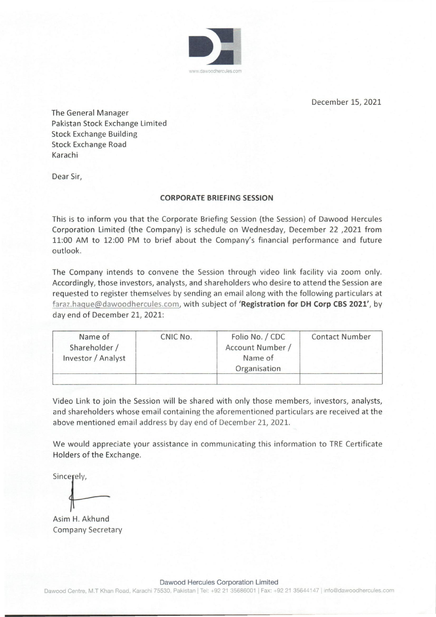

December 15, 2021

The General Manager Pakistan Stock Exchange Limited Stock Exchange Building Stock Exchange Road Karachi

Dear Sir,

## **CORPORATE BRIEFING SESSION**

This is to inform you that the Corporate Briefing Session (the Session) of Dawood Hercules Corporation Limited (the Company) is schedule on Wednesday, December 22 ,2021 from 11:00 AM to 12:00 PM to brief about the Company's financial performance and future outlook.

The Company intends to convene the Session through video link facility via zoom only. Accordingly, those investors, analysts, and shareholders who desire to attend the Session are requested to register themselves by sending an email along with the following particulars at faraz.hague@dawoodhercules.com, with subject of **'Registration for DH Corp CBS 2021',** by day end of December 21, 2021:

| Name of<br>CNIC No.<br>Shareholder /<br>Investor / Analyst | Folio No. / CDC<br>Account Number<br>Name of<br>Organisation | <b>Contact Number</b> |
|------------------------------------------------------------|--------------------------------------------------------------|-----------------------|
|------------------------------------------------------------|--------------------------------------------------------------|-----------------------|

Video Link to join the Session will be shared with only those members, investors, analysts, and shareholders whose email containing the aforementioned particulars are received at the above mentioned email address by day end of December 21, 2021.

We would appreciate your assistance in communicating this information to TRE Certificate Holders of the Exchange.

 $\left| \begin{matrix} \frac{1}{2} \\ \frac{1}{2} \end{matrix} \right|$ 

Asim H. Akhund Company Secretary